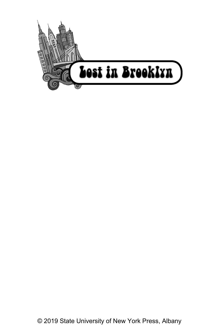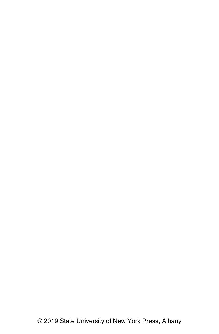© 2019 State University of New York Press, Albany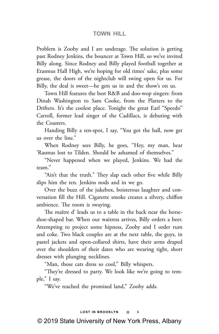## **TOWN HILL**

Problem is Zooby and I are underage. The solution is getting past Rodney Jenkins, the bouncer at Town Hill, so we've invited Billy along. Since Rodney and Billy played football together at Erasmus Hall High, we're hoping for old times' sake, plus some grease, the doors of the nightclub will swing open for us. For Billy, the deal is sweet—he gets us in and the show's on us.

Town Hill features the best R&B and doo-wop singers: from Dinah Washington to Sam Cooke, from the Platters to the Drifters. It's the coolest place. Tonight the great Earl "Speedo" Carroll, former lead singer of the Cadillacs, is debuting with the Coasters.

Handing Billy a ten-spot, I say, "You got the ball, now get us over the line."

When Rodney sees Billy, he goes, "Hey, my man, hear 'Rasmus lost to Tilden. Should be ashamed of themselves."

"Never happened when we played, Jenkins. We had the team."

"Ain't that the truth." They slap each other five while Billy slips him the ten. Jenkins nods and in we go.

Over the buzz of the jukebox, boisterous laughter and conversation fill the Hill. Cigarette smoke creates a silvery, chiffon ambience. The room is swaying.

The maître d' leads us to a table in the back near the horseshoe-shaped bar. When our waitress arrives, Billy orders a beer. Attempting to project some hipness, Zooby and I order rum and coke. Two black couples are at the next table, the guys, in pastel jackets and open-collared shirts, have their arms draped over the shoulders of their dates who are wearing tight, short dresses with plunging necklines.

"Man, those cats dress so cool," Billy whispers.

"They're dressed to party. We look like we're going to temple," I say.

"We've reached the promised land," Zooby adds.

© 2019 State University of New York Press, Albany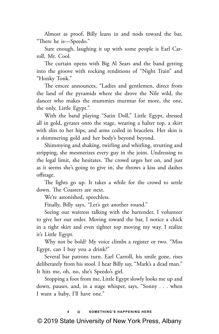Almost as proof, Billy leans in and nods toward the bar, "There he is—Speedo."

Sure enough, laughing it up with some people is Earl Carroll, Mr. Cool.

The curtain opens with Big Al Sears and the band getting into the groove with rocking renditions of "Night Train" and "Honky Tonk."

The emcee announces, "Ladies and gentlemen, direct from the land of the pyramids where she drove the Nile wild, the dancer who makes the mummies murmur for more, the one, the only, Little Egypt."

With the band playing "Satin Doll," Little Egypt, dressed all in gold, gyrates onto the stage, wearing a halter top, a skirt with slits to her hips, and arms coiled in bracelets. Her skin is a shimmering gold and her body's beyond beyond.

Shimmying and shaking, twirling and whirling, strutting and stripping, she mesmerizes every guy in the joint. Undressing to the legal limit, she hesitates. The crowd urges her on, and just as it seems she's going to give in, she throws a kiss and dashes offstage.

The lights go up. It takes a while for the crowd to settle down. The Coasters are next.

We're astonished, speechless.

Finally, Billy says, "Let's get another round."

Seeing our waitress talking with the bartender, I volunteer to give her our order. Moving toward the bar, I notice a chick in a tight skirt and even tighter top moving my way. I realize it's Little Egypt.

Why not be bold? My voice climbs a register or two. "Miss Egypt, can I buy you a drink?"

Several bar patrons turn. Earl Carroll, his smile gone, rises deliberately from his stool. I hear Billy say, "Mark's a dead man." It hits me, oh, no, she's Speedo's girl.

Stopping a foot from me, Little Egypt slowly looks me up and down, pauses, and, in a stage whisper, says, "Sonny . . . when I want a baby, I'll have one."

## $\odot$  **SOMETHING'S HAPPENING HERE**

© 2019 State University of New York Press, Albany